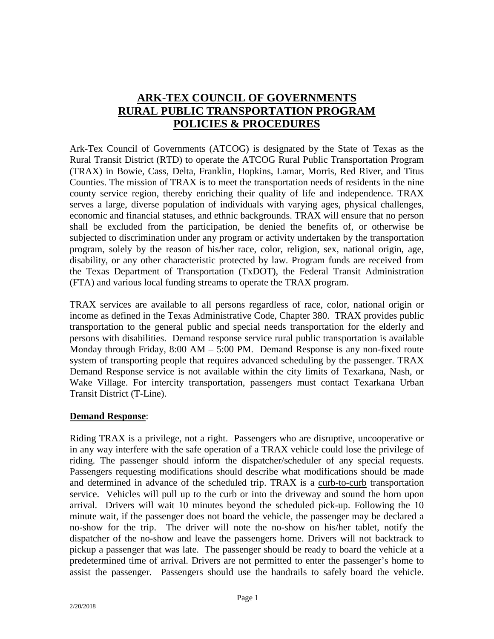# **ARK-TEX COUNCIL OF GOVERNMENTS RURAL PUBLIC TRANSPORTATION PROGRAM POLICIES & PROCEDURES**

Ark-Tex Council of Governments (ATCOG) is designated by the State of Texas as the Rural Transit District (RTD) to operate the ATCOG Rural Public Transportation Program (TRAX) in Bowie, Cass, Delta, Franklin, Hopkins, Lamar, Morris, Red River, and Titus Counties. The mission of TRAX is to meet the transportation needs of residents in the nine county service region, thereby enriching their quality of life and independence. TRAX serves a large, diverse population of individuals with varying ages, physical challenges, economic and financial statuses, and ethnic backgrounds. TRAX will ensure that no person shall be excluded from the participation, be denied the benefits of, or otherwise be subjected to discrimination under any program or activity undertaken by the transportation program, solely by the reason of his/her race, color, religion, sex, national origin, age, disability, or any other characteristic protected by law. Program funds are received from the Texas Department of Transportation (TxDOT), the Federal Transit Administration (FTA) and various local funding streams to operate the TRAX program.

TRAX services are available to all persons regardless of race, color, national origin or income as defined in the Texas Administrative Code, Chapter 380. TRAX provides public transportation to the general public and special needs transportation for the elderly and persons with disabilities. Demand response service rural public transportation is available Monday through Friday,  $8:00 \text{ AM} - 5:00 \text{ PM}$ . Demand Response is any non-fixed route system of transporting people that requires advanced scheduling by the passenger. TRAX Demand Response service is not available within the city limits of Texarkana, Nash, or Wake Village. For intercity transportation, passengers must contact Texarkana Urban Transit District (T-Line).

#### **Demand Response**:

Riding TRAX is a privilege, not a right. Passengers who are disruptive, uncooperative or in any way interfere with the safe operation of a TRAX vehicle could lose the privilege of riding. The passenger should inform the dispatcher/scheduler of any special requests. Passengers requesting modifications should describe what modifications should be made and determined in advance of the scheduled trip. TRAX is a curb-to-curb transportation service. Vehicles will pull up to the curb or into the driveway and sound the horn upon arrival. Drivers will wait 10 minutes beyond the scheduled pick-up. Following the 10 minute wait, if the passenger does not board the vehicle, the passenger may be declared a no-show for the trip. The driver will note the no-show on his/her tablet, notify the dispatcher of the no-show and leave the passengers home. Drivers will not backtrack to pickup a passenger that was late. The passenger should be ready to board the vehicle at a predetermined time of arrival. Drivers are not permitted to enter the passenger's home to assist the passenger. Passengers should use the handrails to safely board the vehicle.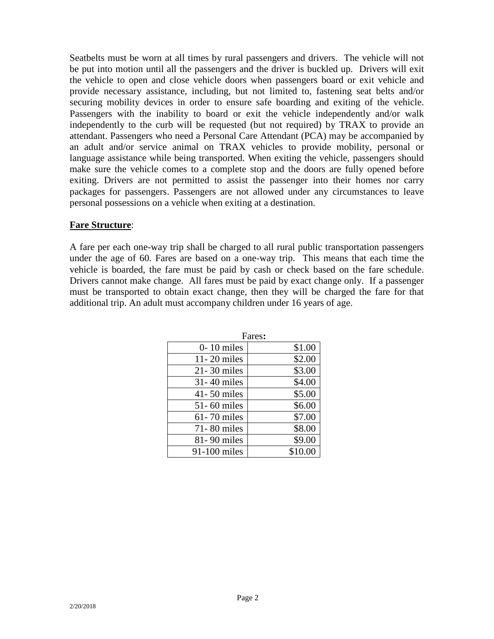Seatbelts must be worn at all times by rural passengers and drivers. The vehicle will not be put into motion until all the passengers and the driver is buckled up. Drivers will exit the vehicle to open and close vehicle doors when passengers board or exit vehicle and provide necessary assistance, including, but not limited to, fastening seat belts and/or securing mobility devices in order to ensure safe boarding and exiting of the vehicle. Passengers with the inability to board or exit the vehicle independently and/or walk independently to the curb will be requested (but not required) by TRAX to provide an attendant. Passengers who need a Personal Care Attendant (PCA) may be accompanied by an adult and/or service animal on TRAX vehicles to provide mobility, personal or language assistance while being transported. When exiting the vehicle, passengers should make sure the vehicle comes to a complete stop and the doors are fully opened before exiting. Drivers are not permitted to assist the passenger into their homes nor carry packages for passengers. Passengers are not allowed under any circumstances to leave personal possessions on a vehicle when exiting at a destination.

#### **Fare Structure**:

A fare per each one-way trip shall be charged to all rural public transportation passengers under the age of 60. Fares are based on a one-way trip. This means that each time the vehicle is boarded, the fare must be paid by cash or check based on the fare schedule. Drivers cannot make change. All fares must be paid by exact change only. If a passenger must be transported to obtain exact change, then they will be charged the fare for that additional trip. An adult must accompany children under 16 years of age.

| Pales.          |         |
|-----------------|---------|
| $0-10$ miles    | \$1.00  |
| 11-20 miles     | \$2.00  |
| $21 - 30$ miles | \$3.00  |
| 31-40 miles     | \$4.00  |
| 41-50 miles     | \$5.00  |
| 51-60 miles     | \$6.00  |
| 61-70 miles     | \$7.00  |
| 71-80 miles     | \$8.00  |
| 81-90 miles     | \$9.00  |
| 91-100 miles    | \$10.00 |

Fares**:**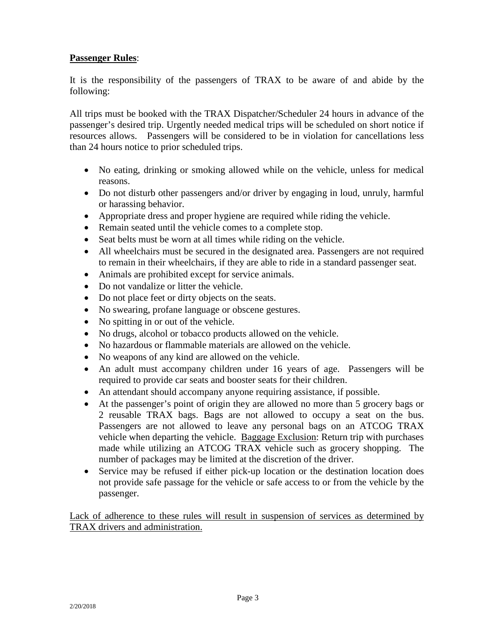## **Passenger Rules**:

It is the responsibility of the passengers of TRAX to be aware of and abide by the following:

All trips must be booked with the TRAX Dispatcher/Scheduler 24 hours in advance of the passenger's desired trip. Urgently needed medical trips will be scheduled on short notice if resources allows. Passengers will be considered to be in violation for cancellations less than 24 hours notice to prior scheduled trips.

- No eating, drinking or smoking allowed while on the vehicle, unless for medical reasons.
- Do not disturb other passengers and/or driver by engaging in loud, unruly, harmful or harassing behavior.
- Appropriate dress and proper hygiene are required while riding the vehicle.
- Remain seated until the vehicle comes to a complete stop.
- Seat belts must be worn at all times while riding on the vehicle.
- All wheelchairs must be secured in the designated area. Passengers are not required to remain in their wheelchairs, if they are able to ride in a standard passenger seat.
- Animals are prohibited except for service animals.
- Do not vandalize or litter the vehicle.
- Do not place feet or dirty objects on the seats.
- No swearing, profane language or obscene gestures.
- No spitting in or out of the vehicle.
- No drugs, alcohol or tobacco products allowed on the vehicle.
- No hazardous or flammable materials are allowed on the vehicle.
- No weapons of any kind are allowed on the vehicle.
- An adult must accompany children under 16 years of age. Passengers will be required to provide car seats and booster seats for their children.
- An attendant should accompany anyone requiring assistance, if possible.
- At the passenger's point of origin they are allowed no more than 5 grocery bags or 2 reusable TRAX bags. Bags are not allowed to occupy a seat on the bus. Passengers are not allowed to leave any personal bags on an ATCOG TRAX vehicle when departing the vehicle. Baggage Exclusion: Return trip with purchases made while utilizing an ATCOG TRAX vehicle such as grocery shopping. The number of packages may be limited at the discretion of the driver.
- Service may be refused if either pick-up location or the destination location does not provide safe passage for the vehicle or safe access to or from the vehicle by the passenger.

Lack of adherence to these rules will result in suspension of services as determined by TRAX drivers and administration.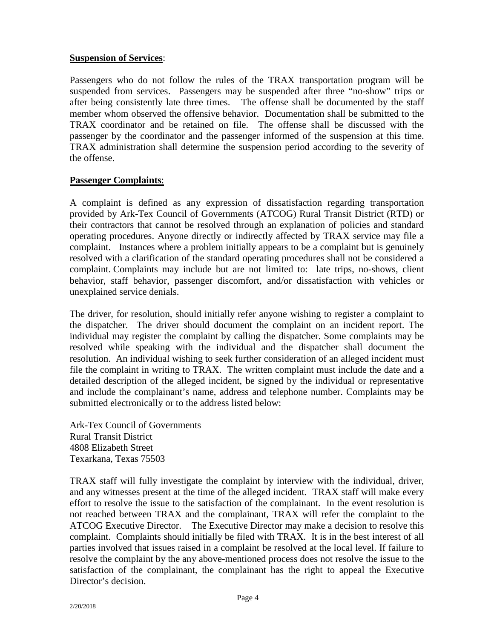#### **Suspension of Services**:

Passengers who do not follow the rules of the TRAX transportation program will be suspended from services. Passengers may be suspended after three "no-show" trips or after being consistently late three times. The offense shall be documented by the staff member whom observed the offensive behavior. Documentation shall be submitted to the TRAX coordinator and be retained on file. The offense shall be discussed with the passenger by the coordinator and the passenger informed of the suspension at this time. TRAX administration shall determine the suspension period according to the severity of the offense.

#### **Passenger Complaints**:

A complaint is defined as any expression of dissatisfaction regarding transportation provided by Ark-Tex Council of Governments (ATCOG) Rural Transit District (RTD) or their contractors that cannot be resolved through an explanation of policies and standard operating procedures. Anyone directly or indirectly affected by TRAX service may file a complaint. Instances where a problem initially appears to be a complaint but is genuinely resolved with a clarification of the standard operating procedures shall not be considered a complaint. Complaints may include but are not limited to: late trips, no-shows, client behavior, staff behavior, passenger discomfort, and/or dissatisfaction with vehicles or unexplained service denials.

The driver, for resolution, should initially refer anyone wishing to register a complaint to the dispatcher. The driver should document the complaint on an incident report. The individual may register the complaint by calling the dispatcher. Some complaints may be resolved while speaking with the individual and the dispatcher shall document the resolution. An individual wishing to seek further consideration of an alleged incident must file the complaint in writing to TRAX. The written complaint must include the date and a detailed description of the alleged incident, be signed by the individual or representative and include the complainant's name, address and telephone number. Complaints may be submitted electronically or to the address listed below:

Ark-Tex Council of Governments Rural Transit District 4808 Elizabeth Street Texarkana, Texas 75503

TRAX staff will fully investigate the complaint by interview with the individual, driver, and any witnesses present at the time of the alleged incident. TRAX staff will make every effort to resolve the issue to the satisfaction of the complainant. In the event resolution is not reached between TRAX and the complainant, TRAX will refer the complaint to the ATCOG Executive Director. The Executive Director may make a decision to resolve this complaint. Complaints should initially be filed with TRAX. It is in the best interest of all parties involved that issues raised in a complaint be resolved at the local level. If failure to resolve the complaint by the any above-mentioned process does not resolve the issue to the satisfaction of the complainant, the complainant has the right to appeal the Executive Director's decision.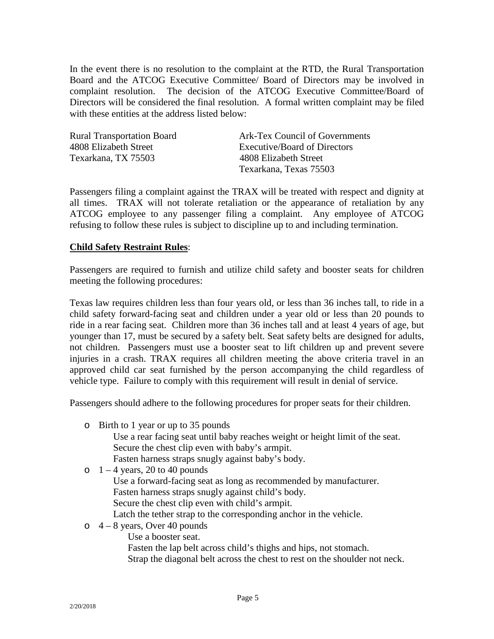In the event there is no resolution to the complaint at the RTD, the Rural Transportation Board and the ATCOG Executive Committee/ Board of Directors may be involved in complaint resolution. The decision of the ATCOG Executive Committee/Board of Directors will be considered the final resolution. A formal written complaint may be filed with these entities at the address listed below:

| <b>Rural Transportation Board</b> | Ark-Tex Council of Governments |
|-----------------------------------|--------------------------------|
| 4808 Elizabeth Street             | Executive/Board of Directors   |
| Texarkana, TX 75503               | 4808 Elizabeth Street          |
|                                   | Texarkana, Texas 75503         |

Passengers filing a complaint against the TRAX will be treated with respect and dignity at all times. TRAX will not tolerate retaliation or the appearance of retaliation by any ATCOG employee to any passenger filing a complaint. Any employee of ATCOG refusing to follow these rules is subject to discipline up to and including termination.

#### **Child Safety Restraint Rules**:

Passengers are required to furnish and utilize child safety and booster seats for children meeting the following procedures:

Texas law requires children less than four years old, or less than 36 inches tall, to ride in a child safety forward-facing seat and children under a year old or less than 20 pounds to ride in a rear facing seat. Children more than 36 inches tall and at least 4 years of age, but younger than 17, must be secured by a safety belt. Seat safety belts are designed for adults, not children. Passengers must use a booster seat to lift children up and prevent severe injuries in a crash. TRAX requires all children meeting the above criteria travel in an approved child car seat furnished by the person accompanying the child regardless of vehicle type. Failure to comply with this requirement will result in denial of service.

Passengers should adhere to the following procedures for proper seats for their children.

- o Birth to 1 year or up to 35 pounds Use a rear facing seat until baby reaches weight or height limit of the seat. Secure the chest clip even with baby's armpit. Fasten harness straps snugly against baby's body.
- $\circ$  1 4 years, 20 to 40 pounds Use a forward-facing seat as long as recommended by manufacturer. Fasten harness straps snugly against child's body. Secure the chest clip even with child's armpit. Latch the tether strap to the corresponding anchor in the vehicle.
- $\circ$  4 8 years, Over 40 pounds
	- Use a booster seat.

Fasten the lap belt across child's thighs and hips, not stomach. Strap the diagonal belt across the chest to rest on the shoulder not neck.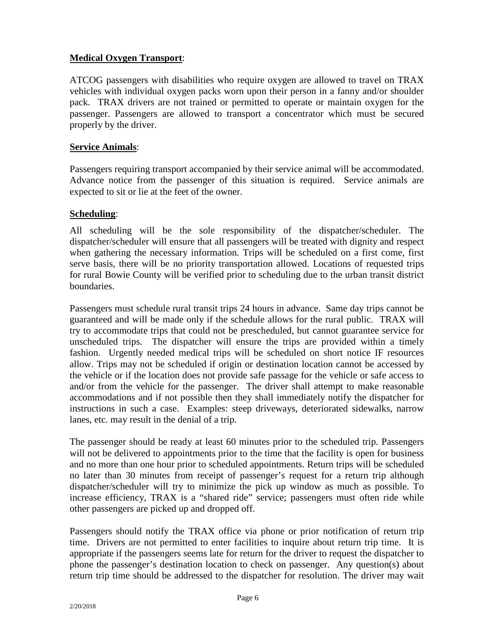## **Medical Oxygen Transport**:

ATCOG passengers with disabilities who require oxygen are allowed to travel on TRAX vehicles with individual oxygen packs worn upon their person in a fanny and/or shoulder pack. TRAX drivers are not trained or permitted to operate or maintain oxygen for the passenger. Passengers are allowed to transport a concentrator which must be secured properly by the driver.

#### **Service Animals**:

Passengers requiring transport accompanied by their service animal will be accommodated. Advance notice from the passenger of this situation is required. Service animals are expected to sit or lie at the feet of the owner.

#### **Scheduling**:

All scheduling will be the sole responsibility of the dispatcher/scheduler. The dispatcher/scheduler will ensure that all passengers will be treated with dignity and respect when gathering the necessary information. Trips will be scheduled on a first come, first serve basis, there will be no priority transportation allowed. Locations of requested trips for rural Bowie County will be verified prior to scheduling due to the urban transit district **boundaries** 

Passengers must schedule rural transit trips 24 hours in advance. Same day trips cannot be guaranteed and will be made only if the schedule allows for the rural public. TRAX will try to accommodate trips that could not be prescheduled, but cannot guarantee service for unscheduled trips. The dispatcher will ensure the trips are provided within a timely fashion. Urgently needed medical trips will be scheduled on short notice IF resources allow. Trips may not be scheduled if origin or destination location cannot be accessed by the vehicle or if the location does not provide safe passage for the vehicle or safe access to and/or from the vehicle for the passenger. The driver shall attempt to make reasonable accommodations and if not possible then they shall immediately notify the dispatcher for instructions in such a case. Examples: steep driveways, deteriorated sidewalks, narrow lanes, etc. may result in the denial of a trip.

The passenger should be ready at least 60 minutes prior to the scheduled trip. Passengers will not be delivered to appointments prior to the time that the facility is open for business and no more than one hour prior to scheduled appointments. Return trips will be scheduled no later than 30 minutes from receipt of passenger's request for a return trip although dispatcher/scheduler will try to minimize the pick up window as much as possible. To increase efficiency, TRAX is a "shared ride" service; passengers must often ride while other passengers are picked up and dropped off.

Passengers should notify the TRAX office via phone or prior notification of return trip time. Drivers are not permitted to enter facilities to inquire about return trip time. It is appropriate if the passengers seems late for return for the driver to request the dispatcher to phone the passenger's destination location to check on passenger. Any question(s) about return trip time should be addressed to the dispatcher for resolution. The driver may wait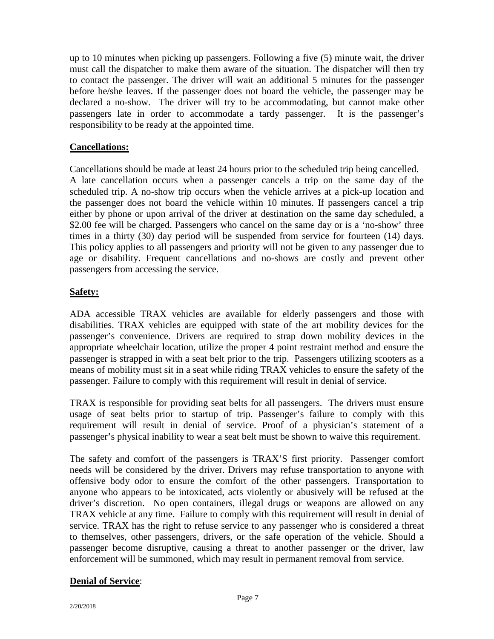up to 10 minutes when picking up passengers. Following a five (5) minute wait, the driver must call the dispatcher to make them aware of the situation. The dispatcher will then try to contact the passenger. The driver will wait an additional 5 minutes for the passenger before he/she leaves. If the passenger does not board the vehicle, the passenger may be declared a no-show. The driver will try to be accommodating, but cannot make other passengers late in order to accommodate a tardy passenger. It is the passenger's responsibility to be ready at the appointed time.

# **Cancellations:**

Cancellations should be made at least 24 hours prior to the scheduled trip being cancelled. A late cancellation occurs when a passenger cancels a trip on the same day of the scheduled trip. A no-show trip occurs when the vehicle arrives at a pick-up location and the passenger does not board the vehicle within 10 minutes. If passengers cancel a trip either by phone or upon arrival of the driver at destination on the same day scheduled, a \$2.00 fee will be charged. Passengers who cancel on the same day or is a 'no-show' three times in a thirty (30) day period will be suspended from service for fourteen (14) days. This policy applies to all passengers and priority will not be given to any passenger due to age or disability. Frequent cancellations and no-shows are costly and prevent other passengers from accessing the service.

# **Safety:**

ADA accessible TRAX vehicles are available for elderly passengers and those with disabilities. TRAX vehicles are equipped with state of the art mobility devices for the passenger's convenience. Drivers are required to strap down mobility devices in the appropriate wheelchair location, utilize the proper 4 point restraint method and ensure the passenger is strapped in with a seat belt prior to the trip. Passengers utilizing scooters as a means of mobility must sit in a seat while riding TRAX vehicles to ensure the safety of the passenger. Failure to comply with this requirement will result in denial of service.

TRAX is responsible for providing seat belts for all passengers. The drivers must ensure usage of seat belts prior to startup of trip. Passenger's failure to comply with this requirement will result in denial of service. Proof of a physician's statement of a passenger's physical inability to wear a seat belt must be shown to waive this requirement.

The safety and comfort of the passengers is TRAX'S first priority. Passenger comfort needs will be considered by the driver. Drivers may refuse transportation to anyone with offensive body odor to ensure the comfort of the other passengers. Transportation to anyone who appears to be intoxicated, acts violently or abusively will be refused at the driver's discretion. No open containers, illegal drugs or weapons are allowed on any TRAX vehicle at any time. Failure to comply with this requirement will result in denial of service. TRAX has the right to refuse service to any passenger who is considered a threat to themselves, other passengers, drivers, or the safe operation of the vehicle. Should a passenger become disruptive, causing a threat to another passenger or the driver, law enforcement will be summoned, which may result in permanent removal from service.

# **Denial of Service**: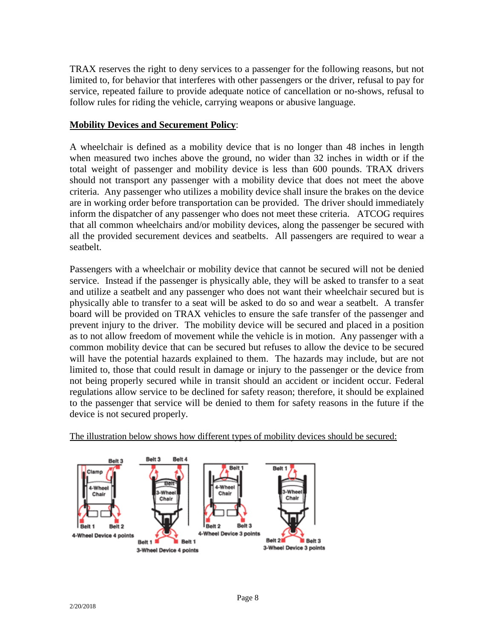TRAX reserves the right to deny services to a passenger for the following reasons, but not limited to, for behavior that interferes with other passengers or the driver, refusal to pay for service, repeated failure to provide adequate notice of cancellation or no-shows, refusal to follow rules for riding the vehicle, carrying weapons or abusive language.

## **Mobility Devices and Securement Policy**:

A wheelchair is defined as a mobility device that is no longer than 48 inches in length when measured two inches above the ground, no wider than 32 inches in width or if the total weight of passenger and mobility device is less than 600 pounds. TRAX drivers should not transport any passenger with a mobility device that does not meet the above criteria. Any passenger who utilizes a mobility device shall insure the brakes on the device are in working order before transportation can be provided. The driver should immediately inform the dispatcher of any passenger who does not meet these criteria. ATCOG requires that all common wheelchairs and/or mobility devices, along the passenger be secured with all the provided securement devices and seatbelts. All passengers are required to wear a seatbelt.

Passengers with a wheelchair or mobility device that cannot be secured will not be denied service. Instead if the passenger is physically able, they will be asked to transfer to a seat and utilize a seatbelt and any passenger who does not want their wheelchair secured but is physically able to transfer to a seat will be asked to do so and wear a seatbelt. A transfer board will be provided on TRAX vehicles to ensure the safe transfer of the passenger and prevent injury to the driver. The mobility device will be secured and placed in a position as to not allow freedom of movement while the vehicle is in motion. Any passenger with a common mobility device that can be secured but refuses to allow the device to be secured will have the potential hazards explained to them. The hazards may include, but are not limited to, those that could result in damage or injury to the passenger or the device from not being properly secured while in transit should an accident or incident occur. Federal regulations allow service to be declined for safety reason; therefore, it should be explained to the passenger that service will be denied to them for safety reasons in the future if the device is not secured properly.



The illustration below shows how different types of mobility devices should be secured: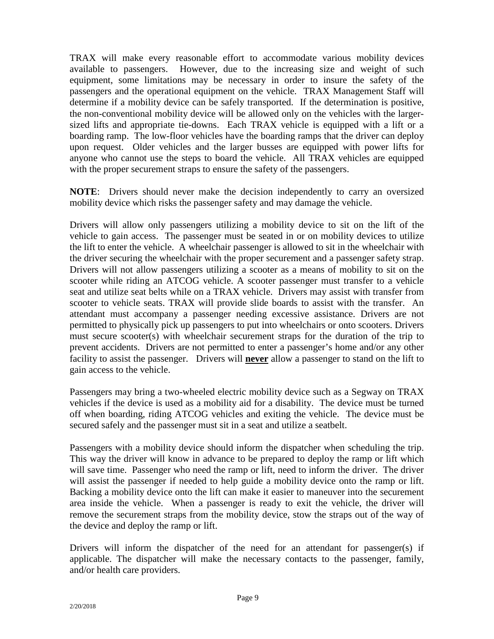TRAX will make every reasonable effort to accommodate various mobility devices available to passengers. However, due to the increasing size and weight of such equipment, some limitations may be necessary in order to insure the safety of the passengers and the operational equipment on the vehicle. TRAX Management Staff will determine if a mobility device can be safely transported. If the determination is positive, the non-conventional mobility device will be allowed only on the vehicles with the largersized lifts and appropriate tie-downs. Each TRAX vehicle is equipped with a lift or a boarding ramp. The low-floor vehicles have the boarding ramps that the driver can deploy upon request. Older vehicles and the larger busses are equipped with power lifts for anyone who cannot use the steps to board the vehicle. All TRAX vehicles are equipped with the proper securement straps to ensure the safety of the passengers.

**NOTE**: Drivers should never make the decision independently to carry an oversized mobility device which risks the passenger safety and may damage the vehicle.

Drivers will allow only passengers utilizing a mobility device to sit on the lift of the vehicle to gain access. The passenger must be seated in or on mobility devices to utilize the lift to enter the vehicle. A wheelchair passenger is allowed to sit in the wheelchair with the driver securing the wheelchair with the proper securement and a passenger safety strap. Drivers will not allow passengers utilizing a scooter as a means of mobility to sit on the scooter while riding an ATCOG vehicle. A scooter passenger must transfer to a vehicle seat and utilize seat belts while on a TRAX vehicle. Drivers may assist with transfer from scooter to vehicle seats. TRAX will provide slide boards to assist with the transfer. An attendant must accompany a passenger needing excessive assistance. Drivers are not permitted to physically pick up passengers to put into wheelchairs or onto scooters. Drivers must secure scooter(s) with wheelchair securement straps for the duration of the trip to prevent accidents. Drivers are not permitted to enter a passenger's home and/or any other facility to assist the passenger. Drivers will **never** allow a passenger to stand on the lift to gain access to the vehicle.

Passengers may bring a two-wheeled electric mobility device such as a Segway on TRAX vehicles if the device is used as a mobility aid for a disability. The device must be turned off when boarding, riding ATCOG vehicles and exiting the vehicle. The device must be secured safely and the passenger must sit in a seat and utilize a seatbelt.

Passengers with a mobility device should inform the dispatcher when scheduling the trip. This way the driver will know in advance to be prepared to deploy the ramp or lift which will save time. Passenger who need the ramp or lift, need to inform the driver. The driver will assist the passenger if needed to help guide a mobility device onto the ramp or lift. Backing a mobility device onto the lift can make it easier to maneuver into the securement area inside the vehicle. When a passenger is ready to exit the vehicle, the driver will remove the securement straps from the mobility device, stow the straps out of the way of the device and deploy the ramp or lift.

Drivers will inform the dispatcher of the need for an attendant for passenger(s) if applicable. The dispatcher will make the necessary contacts to the passenger, family, and/or health care providers.